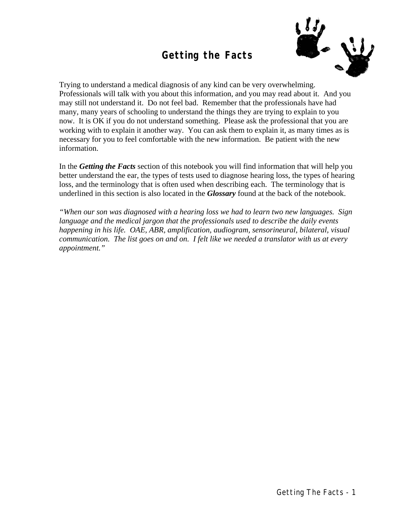## **Getting the Facts**



Trying to understand a medical diagnosis of any kind can be very overwhelming. Professionals will talk with you about this information, and you may read about it. And you may still not understand it. Do not feel bad. Remember that the professionals have had many, many years of schooling to understand the things they are trying to explain to you now. It is OK if you do not understand something. Please ask the professional that you are working with to explain it another way. You can ask them to explain it, as many times as is necessary for you to feel comfortable with the new information. Be patient with the new information.

In the *Getting the Facts* section of this notebook you will find information that will help you better understand the ear, the types of tests used to diagnose hearing loss, the types of hearing loss, and the terminology that is often used when describing each. The terminology that is underlined in this section is also located in the *Glossary* found at the back of the notebook.

*"When our son was diagnosed with a hearing loss we had to learn two new languages. Sign language and the medical jargon that the professionals used to describe the daily events happening in his life. OAE, ABR, amplification, audiogram, sensorineural, bilateral, visual communication. The list goes on and on. I felt like we needed a translator with us at every appointment."*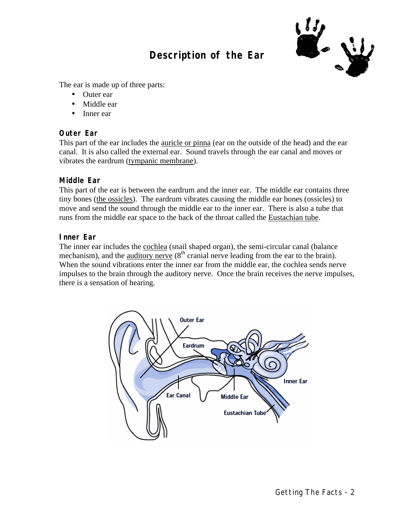# **Description of the Ear**



The ear is made up of three parts:

- Outer ear
- Middle ear
- Inner ear

### **Outer Ear**

This part of the ear includes the <u>auricle or pinna</u> (ear on the outside of the head) and the ear canal. It is also called the external ear. Sound travels through the ear canal and moves or vibrates the eardrum (tympanic membrane).

### **Middle Ear**

This part of the ear is between the eardrum and the inner ear. The middle ear contains three tiny bones (the ossicles). The eardrum vibrates causing the middle ear bones (ossicles) to move and send the sound through the middle ear to the inner ear. There is also a tube that runs from the middle ear space to the back of the throat called the Eustachian tube.

### **Inner Ear**

The inner ear includes the cochlea (snail shaped organ), the semi-circular canal (balance mechanism), and the auditory nerve  $(8<sup>th</sup>$  cranial nerve leading from the ear to the brain). When the sound vibrations enter the inner ear from the middle ear, the cochlea sends nerve impulses to the brain through the auditory nerve. Once the brain receives the nerve impulses, there is a sensation of hearing.

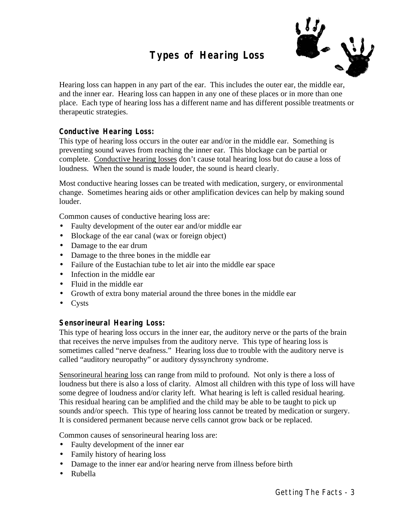# **Types of Hearing Loss**



Hearing loss can happen in any part of the ear. This includes the outer ear, the middle ear, and the inner ear. Hearing loss can happen in any one of these places or in more than one place. Each type of hearing loss has a different name and has different possible treatments or therapeutic strategies.

### **Conductive Hearing Loss:**

This type of hearing loss occurs in the outer ear and/or in the middle ear. Something is preventing sound waves from reaching the inner ear. This blockage can be partial or complete. Conductive hearing losses don't cause total hearing loss but do cause a loss of loudness. When the sound is made louder, the sound is heard clearly.

Most conductive hearing losses can be treated with medication, surgery, or environmental change. Sometimes hearing aids or other amplification devices can help by making sound louder.

Common causes of conductive hearing loss are:

- Faulty development of the outer ear and/or middle ear
- Blockage of the ear canal (wax or foreign object)
- Damage to the ear drum
- Damage to the three bones in the middle ear
- Failure of the Eustachian tube to let air into the middle ear space
- Infection in the middle ear
- Fluid in the middle ear
- Growth of extra bony material around the three bones in the middle ear
- Cysts

### **Sensorineural Hearing Loss:**

This type of hearing loss occurs in the inner ear, the auditory nerve or the parts of the brain that receives the nerve impulses from the auditory nerve. This type of hearing loss is sometimes called "nerve deafness." Hearing loss due to trouble with the auditory nerve is called "auditory neuropathy" or auditory dyssynchrony syndrome.

Sensorineural hearing loss can range from mild to profound. Not only is there a loss of loudness but there is also a loss of clarity. Almost all children with this type of loss will have some degree of loudness and/or clarity left. What hearing is left is called residual hearing. This residual hearing can be amplified and the child may be able to be taught to pick up sounds and/or speech. This type of hearing loss cannot be treated by medication or surgery. It is considered permanent because nerve cells cannot grow back or be replaced.

Common causes of sensorineural hearing loss are:

- Faulty development of the inner ear
- Family history of hearing loss
- Damage to the inner ear and/or hearing nerve from illness before birth
- Rubella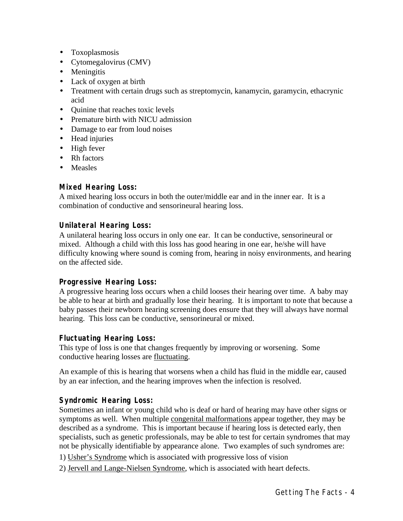- Toxoplasmosis
- Cytomegalovirus (CMV)
- Meningitis
- Lack of oxygen at birth
- Treatment with certain drugs such as streptomycin, kanamycin, garamycin, ethacrynic acid
- Quinine that reaches toxic levels
- Premature birth with NICU admission
- Damage to ear from loud noises
- Head injuries
- High fever
- Rh factors
- Measles

### **Mixed Hearing Loss:**

A mixed hearing loss occurs in both the outer/middle ear and in the inner ear. It is a combination of conductive and sensorineural hearing loss.

### **Unilateral Hearing Loss:**

A unilateral hearing loss occurs in only one ear. It can be conductive, sensorineural or mixed. Although a child with this loss has good hearing in one ear, he/she will have difficulty knowing where sound is coming from, hearing in noisy environments, and hearing on the affected side.

### **Progressive Hearing Loss:**

A progressive hearing loss occurs when a child looses their hearing over time. A baby may be able to hear at birth and gradually lose their hearing. It is important to note that because a baby passes their newborn hearing screening does ensure that they will always have normal hearing. This loss can be conductive, sensorineural or mixed.

### **Fluctuating Hearing Loss:**

This type of loss is one that changes frequently by improving or worsening. Some conductive hearing losses are fluctuating.

An example of this is hearing that worsens when a child has fluid in the middle ear, caused by an ear infection, and the hearing improves when the infection is resolved.

### **Syndromic Hearing Loss:**

Sometimes an infant or young child who is deaf or hard of hearing may have other signs or symptoms as well. When multiple congenital malformations appear together, they may be described as a syndrome. This is important because if hearing loss is detected early, then specialists, such as genetic professionals, may be able to test for certain syndromes that may not be physically identifiable by appearance alone. Two examples of such syndromes are:

- 1) Usher's Syndrome which is associated with progressive loss of vision
- 2) Jervell and Lange-Nielsen Syndrome, which is associated with heart defects.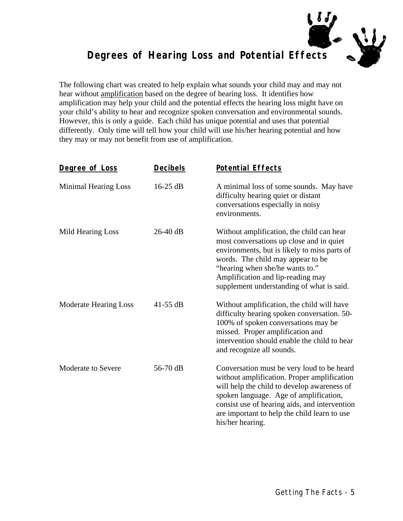

# **Degrees of Hearing Loss and Potential Effects**

The following chart was created to help explain what sounds your child may and may not hear without amplification based on the degree of hearing loss. It identifies how amplification may help your child and the potential effects the hearing loss might have on your child's ability to hear and recognize spoken conversation and environmental sounds. However, this is only a guide. Each child has unique potential and uses that potential differently. Only time will tell how your child will use his/her hearing potential and how they may or may not benefit from use of amplification.

| Degree of Loss               | <b>Decibels</b> | <b>Potential Effects</b>                                                                                                                                                                                                                                                                                |
|------------------------------|-----------------|---------------------------------------------------------------------------------------------------------------------------------------------------------------------------------------------------------------------------------------------------------------------------------------------------------|
| <b>Minimal Hearing Loss</b>  | 16-25 dB        | A minimal loss of some sounds. May have<br>difficulty hearing quiet or distant<br>conversations especially in noisy<br>environments.                                                                                                                                                                    |
| Mild Hearing Loss            | $26-40$ dB      | Without amplification, the child can hear<br>most conversations up close and in quiet<br>environments, but is likely to miss parts of<br>words. The child may appear to be<br>"hearing when she/he wants to."<br>Amplification and lip-reading may<br>supplement understanding of what is said.         |
| <b>Moderate Hearing Loss</b> | $41-55$ dB      | Without amplification, the child will have<br>difficulty hearing spoken conversation. 50-<br>100% of spoken conversations may be<br>missed. Proper amplification and<br>intervention should enable the child to hear<br>and recognize all sounds.                                                       |
| Moderate to Severe           | 56-70 dB        | Conversation must be very loud to be heard<br>without amplification. Proper amplification<br>will help the child to develop awareness of<br>spoken language. Age of amplification,<br>consist use of hearing aids, and intervention<br>are important to help the child learn to use<br>his/her hearing. |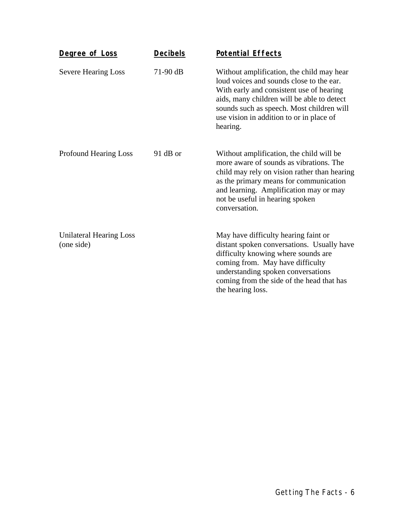| Degree of Loss                               | <b>Decibels</b> | <b>Potential Effects</b>                                                                                                                                                                                                                                                             |
|----------------------------------------------|-----------------|--------------------------------------------------------------------------------------------------------------------------------------------------------------------------------------------------------------------------------------------------------------------------------------|
| <b>Severe Hearing Loss</b>                   | $71-90$ dB      | Without amplification, the child may hear<br>loud voices and sounds close to the ear.<br>With early and consistent use of hearing<br>aids, many children will be able to detect<br>sounds such as speech. Most children will<br>use vision in addition to or in place of<br>hearing. |
| <b>Profound Hearing Loss</b>                 | 91 dB or        | Without amplification, the child will be<br>more aware of sounds as vibrations. The<br>child may rely on vision rather than hearing<br>as the primary means for communication<br>and learning. Amplification may or may<br>not be useful in hearing spoken<br>conversation.          |
| <b>Unilateral Hearing Loss</b><br>(one side) |                 | May have difficulty hearing faint or<br>distant spoken conversations. Usually have<br>difficulty knowing where sounds are<br>coming from. May have difficulty<br>understanding spoken conversations<br>coming from the side of the head that has<br>the hearing loss.                |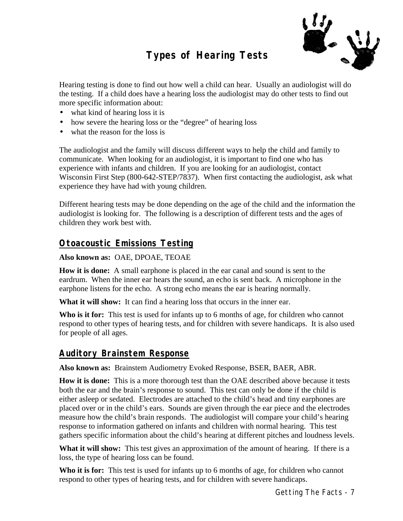# **Types of Hearing Tests**



Hearing testing is done to find out how well a child can hear. Usually an audiologist will do the testing. If a child does have a hearing loss the audiologist may do other tests to find out more specific information about:

- what kind of hearing loss it is
- how severe the hearing loss or the "degree" of hearing loss
- what the reason for the loss is

The audiologist and the family will discuss different ways to help the child and family to communicate. When looking for an audiologist, it is important to find one who has experience with infants and children. If you are looking for an audiologist, contact Wisconsin First Step (800-642-STEP/7837). When first contacting the audiologist, ask what experience they have had with young children.

Different hearing tests may be done depending on the age of the child and the information the audiologist is looking for. The following is a description of different tests and the ages of children they work best with.

### **Otoacoustic Emissions Testing**

#### **Also known as:** OAE, DPOAE, TEOAE

**How it is done:** A small earphone is placed in the ear canal and sound is sent to the eardrum. When the inner ear hears the sound, an echo is sent back. A microphone in the earphone listens for the echo. A strong echo means the ear is hearing normally.

**What it will show:** It can find a hearing loss that occurs in the inner ear.

**Who is it for:** This test is used for infants up to 6 months of age, for children who cannot respond to other types of hearing tests, and for children with severe handicaps. It is also used for people of all ages.

### **Auditory Brainstem Response**

**Also known as:** Brainstem Audiometry Evoked Response, BSER, BAER, ABR.

**How it is done:** This is a more thorough test than the OAE described above because it tests both the ear and the brain's response to sound. This test can only be done if the child is either asleep or sedated. Electrodes are attached to the child's head and tiny earphones are placed over or in the child's ears. Sounds are given through the ear piece and the electrodes measure how the child's brain responds. The audiologist will compare your child's hearing response to information gathered on infants and children with normal hearing. This test gathers specific information about the child's hearing at different pitches and loudness levels.

What it will show: This test gives an approximation of the amount of hearing. If there is a loss, the type of hearing loss can be found.

**Who it is for:** This test is used for infants up to 6 months of age, for children who cannot respond to other types of hearing tests, and for children with severe handicaps.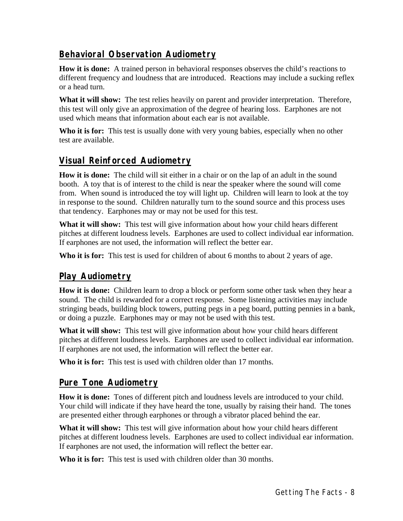## **Behavioral Observation Audiometry**

**How it is done:** A trained person in behavioral responses observes the child's reactions to different frequency and loudness that are introduced. Reactions may include a sucking reflex or a head turn.

What it will show: The test relies heavily on parent and provider interpretation. Therefore, this test will only give an approximation of the degree of hearing loss. Earphones are not used which means that information about each ear is not available.

**Who it is for:** This test is usually done with very young babies, especially when no other test are available.

### **Visual Reinforced Audiometry**

**How it is done:** The child will sit either in a chair or on the lap of an adult in the sound booth. A toy that is of interest to the child is near the speaker where the sound will come from. When sound is introduced the toy will light up. Children will learn to look at the toy in response to the sound. Children naturally turn to the sound source and this process uses that tendency. Earphones may or may not be used for this test.

**What it will show:** This test will give information about how your child hears different pitches at different loudness levels. Earphones are used to collect individual ear information. If earphones are not used, the information will reflect the better ear.

**Who it is for:** This test is used for children of about 6 months to about 2 years of age.

### **Play Audiometry**

**How it is done:** Children learn to drop a block or perform some other task when they hear a sound. The child is rewarded for a correct response. Some listening activities may include stringing beads, building block towers, putting pegs in a peg board, putting pennies in a bank, or doing a puzzle. Earphones may or may not be used with this test.

**What it will show:** This test will give information about how your child hears different pitches at different loudness levels. Earphones are used to collect individual ear information. If earphones are not used, the information will reflect the better ear.

**Who it is for:** This test is used with children older than 17 months.

### **Pure Tone Audiometry**

**How it is done:** Tones of different pitch and loudness levels are introduced to your child. Your child will indicate if they have heard the tone, usually by raising their hand. The tones are presented either through earphones or through a vibrator placed behind the ear.

**What it will show:** This test will give information about how your child hears different pitches at different loudness levels. Earphones are used to collect individual ear information. If earphones are not used, the information will reflect the better ear.

**Who it is for:** This test is used with children older than 30 months.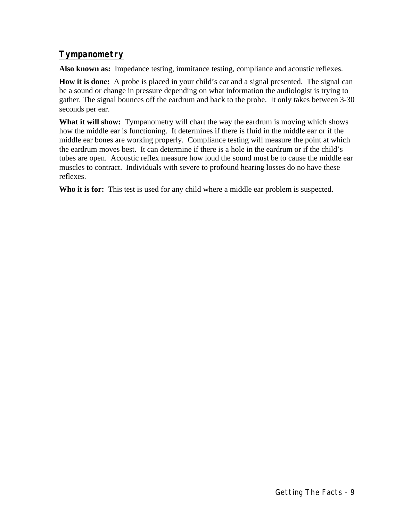## **Tympanometry**

**Also known as:** Impedance testing, immitance testing, compliance and acoustic reflexes.

**How it is done:** A probe is placed in your child's ear and a signal presented. The signal can be a sound or change in pressure depending on what information the audiologist is trying to gather. The signal bounces off the eardrum and back to the probe. It only takes between 3-30 seconds per ear.

**What it will show:** Tympanometry will chart the way the eardrum is moving which shows how the middle ear is functioning. It determines if there is fluid in the middle ear or if the middle ear bones are working properly. Compliance testing will measure the point at which the eardrum moves best. It can determine if there is a hole in the eardrum or if the child's tubes are open. Acoustic reflex measure how loud the sound must be to cause the middle ear muscles to contract. Individuals with severe to profound hearing losses do no have these reflexes.

**Who it is for:** This test is used for any child where a middle ear problem is suspected.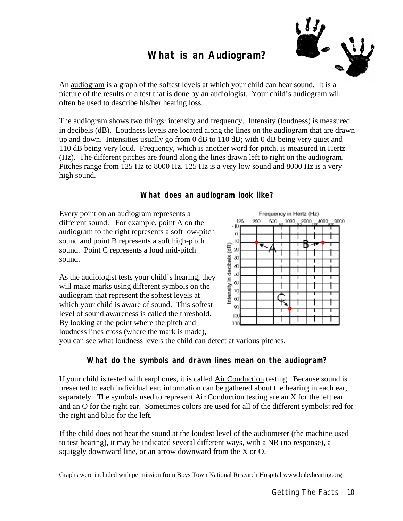## **What is an Audiogram?**



An audiogram is a graph of the softest levels at which your child can hear sound. It is a picture of the results of a test that is done by an audiologist. Your child's audiogram will often be used to describe his/her hearing loss.

The audiogram shows two things: intensity and frequency. Intensity (loudness) is measured in decibels (dB). Loudness levels are located along the lines on the audiogram that are drawn up and down. Intensities usually go from 0 dB to 110 dB; with 0 dB being very quiet and 110 dB being very loud. Frequency, which is another word for pitch, is measured in Hertz (Hz). The different pitches are found along the lines drawn left to right on the audiogram. Pitches range from 125 Hz to 8000 Hz. 125 Hz is a very low sound and 8000 Hz is a very high sound.

### **What does an audiogram look like?**

Every point on an audiogram represents a different sound. For example, point A on the audiogram to the right represents a soft low-pitch sound and point B represents a soft high-pitch sound. Point C represents a loud mid-pitch sound.

As the audiologist tests your child's hearing, they will make marks using different symbols on the audiogram that represent the softest levels at which your child is aware of sound. This softest level of sound awareness is called the threshold. By looking at the point where the pitch and loudness lines cross (where the mark is made),



you can see what loudness levels the child can detect at various pitches.

### **What do the symbols and drawn lines mean on the audiogram?**

If your child is tested with earphones, it is called Air Conduction testing. Because sound is presented to each individual ear, information can be gathered about the hearing in each ear, separately. The symbols used to represent Air Conduction testing are an X for the left ear and an O for the right ear. Sometimes colors are used for all of the different symbols: red for the right and blue for the left.

If the child does not hear the sound at the loudest level of the audiometer (the machine used to test hearing), it may be indicated several different ways, with a NR (no response), a squiggly downward line, or an arrow downward from the X or O.

Graphs were included with permission from Boys Town National Research Hospital www.babyhearing.org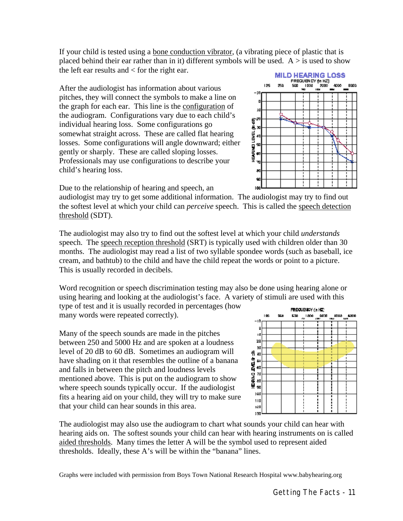If your child is tested using a bone conduction vibrator, (a vibrating piece of plastic that is placed behind their ear rather than in it) different symbols will be used.  $A > i$ s used to show the left ear results and < for the right ear.

After the audiologist has information about various pitches, they will connect the symbols to make a line on the graph for each ear. This line is the configuration of the audiogram. Configurations vary due to each child's individual hearing loss. Some configurations go somewhat straight across. These are called flat hearing losses. Some configurations will angle downward; either gently or sharply. These are called sloping losses. Professionals may use configurations to describe your child's hearing loss.

**MILD HEARING LOSS** FREQUENCY (In HZ) 125  $\frac{1000}{200}$   $\frac{2000}{100}$ 250 500 4000 8000  $-10$ Jű းမောင်းကောက်<br>(ကောင်းကောက်) Đ HENRIH 幁 90 Гæ

Due to the relationship of hearing and speech, an

audiologist may try to get some additional information. The audiologist may try to find out the softest level at which your child can *perceive* speech. This is called the speech detection threshold (SDT).

The audiologist may also try to find out the softest level at which your child *understands* speech. The speech reception threshold (SRT) is typically used with children older than 30 months. The audiologist may read a list of two syllable spondee words (such as baseball, ice cream, and bathtub) to the child and have the child repeat the words or point to a picture. This is usually recorded in decibels.

Word recognition or speech discrimination testing may also be done using hearing alone or using hearing and looking at the audiologist's face. A variety of stimuli are used with this

type of test and it is usually recorded in percentages (how many words were repeated correctly).

Many of the speech sounds are made in the pitches between 250 and 5000 Hz and are spoken at a loudness level of 20 dB to 60 dB. Sometimes an audiogram will have shading on it that resembles the outline of a banana and falls in between the pitch and loudness levels mentioned above. This is put on the audiogram to show where speech sounds typically occur. If the audiologist fits a hearing aid on your child, they will try to make sure that your child can hear sounds in this area.



The audiologist may also use the audiogram to chart what sounds your child can hear with hearing aids on. The softest sounds your child can hear with hearing instruments on is called aided thresholds. Many times the letter A will be the symbol used to represent aided thresholds. Ideally, these A's will be within the "banana" lines.

Graphs were included with permission from Boys Town National Research Hospital www.babyhearing.org